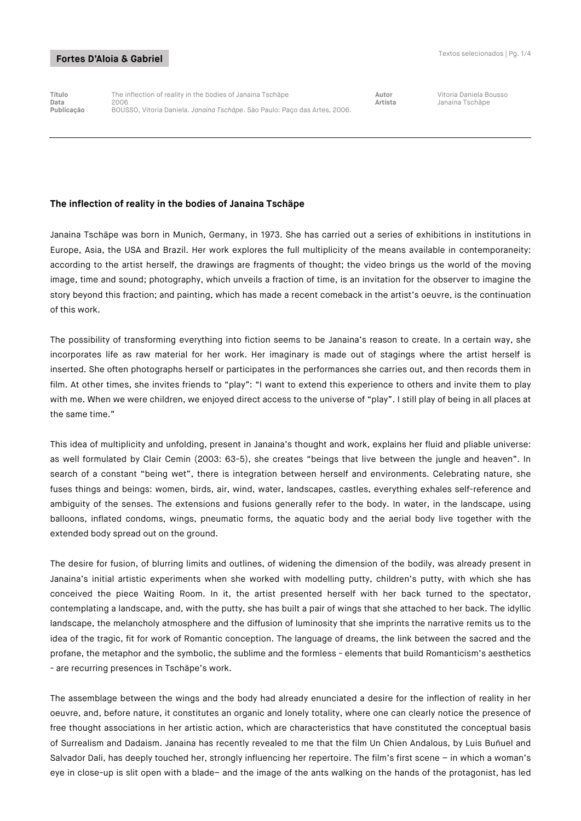**Título** The inflection of reality in the bodies of Janaina Tschäpe **Autor** Vitoria Daniela Bousso **Data** 2006 **Artista** Janaina Tschäpe **Publicação** BOUSSO, Vitoria Daniela. *Janaina Tschäpe*. São Paulo: Paço das Artes, 2006.

## **The inflection of reality in the bodies of Janaina Tschäpe**

Janaina Tschäpe was born in Munich, Germany, in 1973. She has carried out a series of exhibitions in institutions in Europe, Asia, the USA and Brazil. Her work explores the full multiplicity of the means available in contemporaneity: according to the artist herself, the drawings are fragments of thought; the video brings us the world of the moving image, time and sound; photography, which unveils a fraction of time, is an invitation for the observer to imagine the story beyond this fraction; and painting, which has made a recent comeback in the artist's oeuvre, is the continuation of this work.

The possibility of transforming everything into fiction seems to be Janaina's reason to create. In a certain way, she incorporates life as raw material for her work. Her imaginary is made out of stagings where the artist herself is inserted. She often photographs herself or participates in the performances she carries out, and then records them in film. At other times, she invites friends to "play": "I want to extend this experience to others and invite them to play with me. When we were children, we enjoyed direct access to the universe of "play". I still play of being in all places at the same time."

This idea of multiplicity and unfolding, present in Janaina's thought and work, explains her fluid and pliable universe: as well formulated by Clair Cemin (2003: 63-5), she creates "beings that live between the jungle and heaven". In search of a constant "being wet", there is integration between herself and environments. Celebrating nature, she fuses things and beings: women, birds, air, wind, water, landscapes, castles, everything exhales self-reference and ambiguity of the senses. The extensions and fusions generally refer to the body. In water, in the landscape, using balloons, inflated condoms, wings, pneumatic forms, the aquatic body and the aerial body live together with the extended body spread out on the ground.

The desire for fusion, of blurring limits and outlines, of widening the dimension of the bodily, was already present in Janaina's initial artistic experiments when she worked with modelling putty, children's putty, with which she has conceived the piece Waiting Room. In it, the artist presented herself with her back turned to the spectator, contemplating a landscape, and, with the putty, she has built a pair of wings that she attached to her back. The idyllic landscape, the melancholy atmosphere and the diffusion of luminosity that she imprints the narrative remits us to the idea of the tragic, fit for work of Romantic conception. The language of dreams, the link between the sacred and the profane, the metaphor and the symbolic, the sublime and the formless - elements that build Romanticism's aesthetics - are recurring presences in Tschäpe's work.

The assemblage between the wings and the body had already enunciated a desire for the inflection of reality in her oeuvre, and, before nature, it constitutes an organic and lonely totality, where one can clearly notice the presence of free thought associations in her artistic action, which are characteristics that have constituted the conceptual basis of Surrealism and Dadaism. Janaina has recently revealed to me that the film Un Chien Andalous, by Luis Buñuel and Salvador Dali, has deeply touched her, strongly influencing her repertoire. The film's first scene – in which a woman's eye in close-up is slit open with a blade– and the image of the ants walking on the hands of the protagonist, has led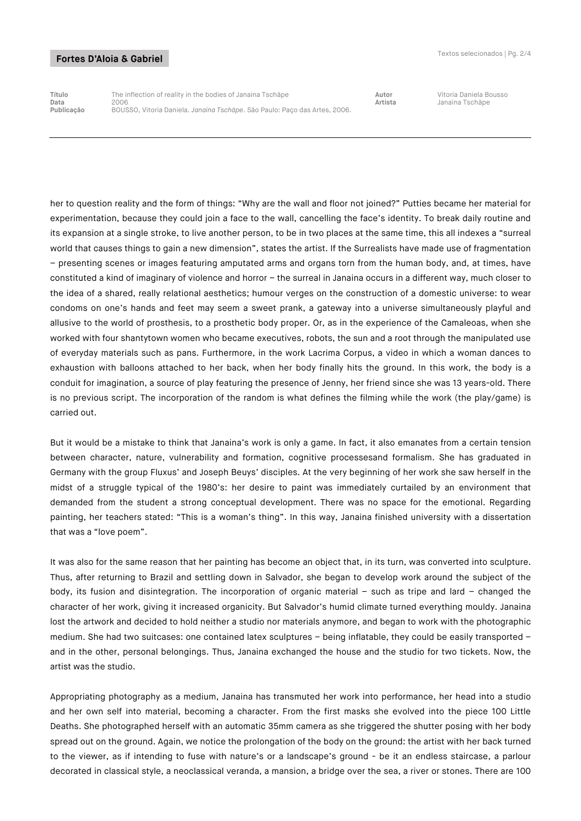## Fortes D'Aloia & Gabriel

**Título** The inflection of reality in the bodies of Janaina Tschäpe **Autor** Vitoria Daniela Bousso **Data** 2006 **Artista** Janaina Tschäpe **Publicação** BOUSSO, Vitoria Daniela. *Janaina Tschäpe*. São Paulo: Paço das Artes, 2006.

her to question reality and the form of things: "Why are the wall and floor not joined?" Putties became her material for experimentation, because they could join a face to the wall, cancelling the face's identity. To break daily routine and its expansion at a single stroke, to live another person, to be in two places at the same time, this all indexes a "surreal world that causes things to gain a new dimension", states the artist. If the Surrealists have made use of fragmentation – presenting scenes or images featuring amputated arms and organs torn from the human body, and, at times, have constituted a kind of imaginary of violence and horror – the surreal in Janaina occurs in a different way, much closer to the idea of a shared, really relational aesthetics; humour verges on the construction of a domestic universe: to wear condoms on one's hands and feet may seem a sweet prank, a gateway into a universe simultaneously playful and allusive to the world of prosthesis, to a prosthetic body proper. Or, as in the experience of the Camaleoas, when she worked with four shantytown women who became executives, robots, the sun and a root through the manipulated use of everyday materials such as pans. Furthermore, in the work Lacrima Corpus, a video in which a woman dances to exhaustion with balloons attached to her back, when her body finally hits the ground. In this work, the body is a conduit for imagination, a source of play featuring the presence of Jenny, her friend since she was 13 years-old. There is no previous script. The incorporation of the random is what defines the filming while the work (the play/game) is carried out.

But it would be a mistake to think that Janaina's work is only a game. In fact, it also emanates from a certain tension between character, nature, vulnerability and formation, cognitive processesand formalism. She has graduated in Germany with the group Fluxus' and Joseph Beuys' disciples. At the very beginning of her work she saw herself in the midst of a struggle typical of the 1980's: her desire to paint was immediately curtailed by an environment that demanded from the student a strong conceptual development. There was no space for the emotional. Regarding painting, her teachers stated: "This is a woman's thing". In this way, Janaina finished university with a dissertation that was a "love poem".

It was also for the same reason that her painting has become an object that, in its turn, was converted into sculpture. Thus, after returning to Brazil and settling down in Salvador, she began to develop work around the subject of the body, its fusion and disintegration. The incorporation of organic material – such as tripe and lard – changed the character of her work, giving it increased organicity. But Salvador's humid climate turned everything mouldy. Janaina lost the artwork and decided to hold neither a studio nor materials anymore, and began to work with the photographic medium. She had two suitcases: one contained latex sculptures – being inflatable, they could be easily transported – and in the other, personal belongings. Thus, Janaina exchanged the house and the studio for two tickets. Now, the artist was the studio.

Appropriating photography as a medium, Janaina has transmuted her work into performance, her head into a studio and her own self into material, becoming a character. From the first masks she evolved into the piece 100 Little Deaths. She photographed herself with an automatic 35mm camera as she triggered the shutter posing with her body spread out on the ground. Again, we notice the prolongation of the body on the ground: the artist with her back turned to the viewer, as if intending to fuse with nature's or a landscape's ground - be it an endless staircase, a parlour decorated in classical style, a neoclassical veranda, a mansion, a bridge over the sea, a river or stones. There are 100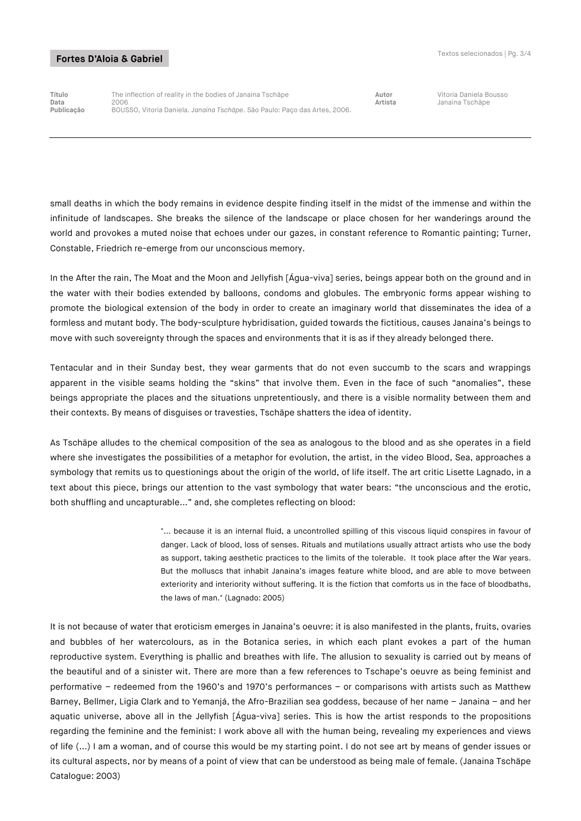## Fortes D'Aloia & Gabriel

**Título** The inflection of reality in the bodies of Janaina Tschäpe **Autor** Vitoria Daniela Bousso **Data** 2006 **Artista** Janaina Tschäpe **Publicação** BOUSSO, Vitoria Daniela. *Janaina Tschäpe*. São Paulo: Paço das Artes, 2006.

small deaths in which the body remains in evidence despite finding itself in the midst of the immense and within the infinitude of landscapes. She breaks the silence of the landscape or place chosen for her wanderings around the world and provokes a muted noise that echoes under our gazes, in constant reference to Romantic painting; Turner, Constable, Friedrich re-emerge from our unconscious memory.

In the After the rain, The Moat and the Moon and Jellyfish [Água-viva] series, beings appear both on the ground and in the water with their bodies extended by balloons, condoms and globules. The embryonic forms appear wishing to promote the biological extension of the body in order to create an imaginary world that disseminates the idea of a formless and mutant body. The body-sculpture hybridisation, guided towards the fictitious, causes Janaina's beings to move with such sovereignty through the spaces and environments that it is as if they already belonged there.

Tentacular and in their Sunday best, they wear garments that do not even succumb to the scars and wrappings apparent in the visible seams holding the "skins" that involve them. Even in the face of such "anomalies", these beings appropriate the places and the situations unpretentiously, and there is a visible normality between them and their contexts. By means of disguises or travesties, Tschäpe shatters the idea of identity.

As Tschäpe alludes to the chemical composition of the sea as analogous to the blood and as she operates in a field where she investigates the possibilities of a metaphor for evolution, the artist, in the video Blood, Sea, approaches a symbology that remits us to questionings about the origin of the world, of life itself. The art critic Lisette Lagnado, in a text about this piece, brings our attention to the vast symbology that water bears: "the unconscious and the erotic, both shuffling and uncapturable..." and, she completes reflecting on blood:

> "... because it is an internal fluid, a uncontrolled spilling of this viscous liquid conspires in favour of danger. Lack of blood, loss of senses. Rituals and mutilations usually attract artists who use the body as support, taking aesthetic practices to the limits of the tolerable. It took place after the War years. But the molluscs that inhabit Janaina's images feature white blood, and are able to move between exteriority and interiority without suffering. It is the fiction that comforts us in the face of bloodbaths, the laws of man." (Lagnado: 2005)

It is not because of water that eroticism emerges in Janaina's oeuvre: it is also manifested in the plants, fruits, ovaries and bubbles of her watercolours, as in the Botanica series, in which each plant evokes a part of the human reproductive system. Everything is phallic and breathes with life. The allusion to sexuality is carried out by means of the beautiful and of a sinister wit. There are more than a few references to Tschape's oeuvre as being feminist and performative – redeemed from the 1960's and 1970's performances – or comparisons with artists such as Matthew Barney, Bellmer, Ligia Clark and to Yemanjá, the Afro-Brazilian sea goddess, because of her name – Janaina – and her aquatic universe, above all in the Jellyfish [Água-viva] series. This is how the artist responds to the propositions regarding the feminine and the feminist: I work above all with the human being, revealing my experiences and views of life (...) I am a woman, and of course this would be my starting point. I do not see art by means of gender issues or its cultural aspects, nor by means of a point of view that can be understood as being male of female. (Janaina Tschäpe Catalogue: 2003)